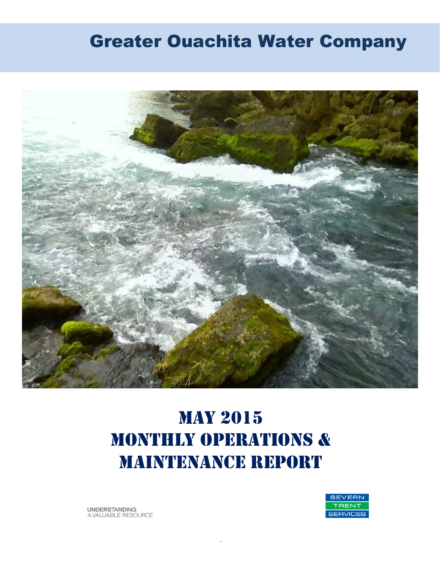# Greater Ouachita Water Company



# May 2015 MONTHLY OPERATIONS & MAINTENANCE REPORT

**UNDERSTANDING** A VALUABLE RESOURCE

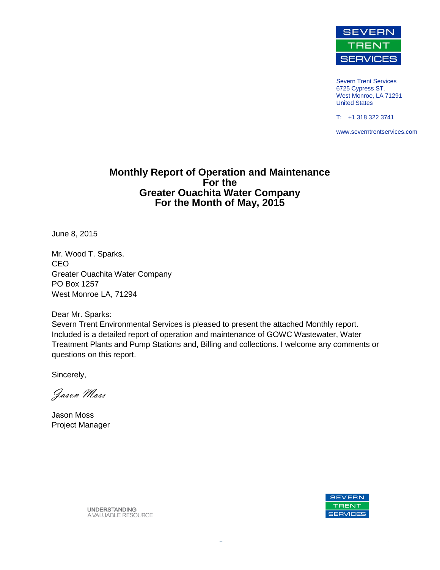

Severn Trent Services 6725 Cypress ST. West Monroe, LA 71291 United States

T: +1 318 322 3741

www.severntrentservices.com

#### **Monthly Report of Operation and Maintenance For the Greater Ouachita Water Company For the Month of May, 2015**

June 8, 2015

Mr. Wood T. Sparks. CEO Greater Ouachita Water Company PO Box 1257 West Monroe LA, 71294

Dear Mr. Sparks:

Severn Trent Environmental Services is pleased to present the attached Monthly report. Included is a detailed report of operation and maintenance of GOWC Wastewater, Water Treatment Plants and Pump Stations and, Billing and collections. I welcome any comments or questions on this report.

Sincerely,

Jason Moss

Jason Moss Project Manager



**UNDERSTANDING** A VALUABLE RESOURCE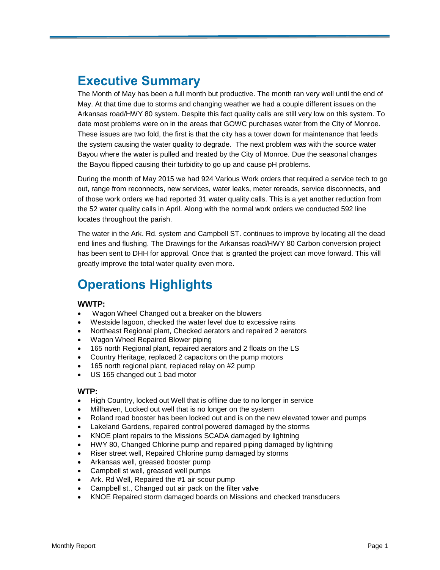## **Executive Summary**

The Month of May has been a full month but productive. The month ran very well until the end of May. At that time due to storms and changing weather we had a couple different issues on the Arkansas road/HWY 80 system. Despite this fact quality calls are still very low on this system. To date most problems were on in the areas that GOWC purchases water from the City of Monroe. These issues are two fold, the first is that the city has a tower down for maintenance that feeds the system causing the water quality to degrade. The next problem was with the source water Bayou where the water is pulled and treated by the City of Monroe. Due the seasonal changes the Bayou flipped causing their turbidity to go up and cause pH problems.

During the month of May 2015 we had 924 Various Work orders that required a service tech to go out, range from reconnects, new services, water leaks, meter rereads, service disconnects, and of those work orders we had reported 31 water quality calls. This is a yet another reduction from the 52 water quality calls in April. Along with the normal work orders we conducted 592 line locates throughout the parish.

The water in the Ark. Rd. system and Campbell ST. continues to improve by locating all the dead end lines and flushing. The Drawings for the Arkansas road/HWY 80 Carbon conversion project has been sent to DHH for approval. Once that is granted the project can move forward. This will greatly improve the total water quality even more.

# **Operations Highlights**

#### **WWTP:**

- Wagon Wheel Changed out a breaker on the blowers
- Westside lagoon, checked the water level due to excessive rains
- Northeast Regional plant, Checked aerators and repaired 2 aerators
- Wagon Wheel Repaired Blower piping
- 165 north Regional plant, repaired aerators and 2 floats on the LS
- Country Heritage, replaced 2 capacitors on the pump motors
- 165 north regional plant, replaced relay on #2 pump
- US 165 changed out 1 bad motor

#### **WTP:**

- High Country, locked out Well that is offline due to no longer in service
- Millhaven, Locked out well that is no longer on the system
- Roland road booster has been locked out and is on the new elevated tower and pumps
- Lakeland Gardens, repaired control powered damaged by the storms
- KNOE plant repairs to the Missions SCADA damaged by lightning
- HWY 80, Changed Chlorine pump and repaired piping damaged by lightning
- Riser street well, Repaired Chlorine pump damaged by storms
- Arkansas well, greased booster pump
- Campbell st well, greased well pumps
- Ark. Rd Well, Repaired the #1 air scour pump
- Campbell st., Changed out air pack on the filter valve
- KNOE Repaired storm damaged boards on Missions and checked transducers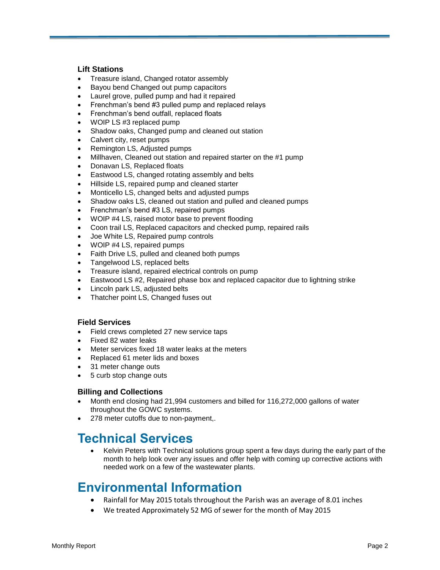#### **Lift Stations**

- Treasure island, Changed rotator assembly
- Bayou bend Changed out pump capacitors
- Laurel grove, pulled pump and had it repaired
- Frenchman's bend #3 pulled pump and replaced relays
- Frenchman's bend outfall, replaced floats
- WOIP LS #3 replaced pump
- Shadow oaks, Changed pump and cleaned out station
- Calvert city, reset pumps
- Remington LS, Adjusted pumps
- Millhaven, Cleaned out station and repaired starter on the #1 pump
- Donavan LS, Replaced floats
- Eastwood LS, changed rotating assembly and belts
- Hillside LS, repaired pump and cleaned starter
- Monticello LS, changed belts and adjusted pumps
- Shadow oaks LS, cleaned out station and pulled and cleaned pumps
- Frenchman's bend #3 LS, repaired pumps
- WOIP #4 LS, raised motor base to prevent flooding
- Coon trail LS, Replaced capacitors and checked pump, repaired rails
- Joe White LS, Repaired pump controls
- WOIP #4 LS, repaired pumps
- Faith Drive LS, pulled and cleaned both pumps
- Tangelwood LS, replaced belts
- Treasure island, repaired electrical controls on pump
- Eastwood LS #2, Repaired phase box and replaced capacitor due to lightning strike
- Lincoln park LS, adjusted belts
- Thatcher point LS, Changed fuses out

#### **Field Services**

- Field crews completed 27 new service taps
- Fixed 82 water leaks
- Meter services fixed 18 water leaks at the meters
- Replaced 61 meter lids and boxes
- 31 meter change outs
- 5 curb stop change outs

#### **Billing and Collections**

- Month end closing had 21,994 customers and billed for 116,272,000 gallons of water throughout the GOWC systems.
- 278 meter cutoffs due to non-payment,.

### **Technical Services**

 Kelvin Peters with Technical solutions group spent a few days during the early part of the month to help look over any issues and offer help with coming up corrective actions with needed work on a few of the wastewater plants.

### **Environmental Information**

- Rainfall for May 2015 totals throughout the Parish was an average of 8.01 inches
- We treated Approximately 52 MG of sewer for the month of May 2015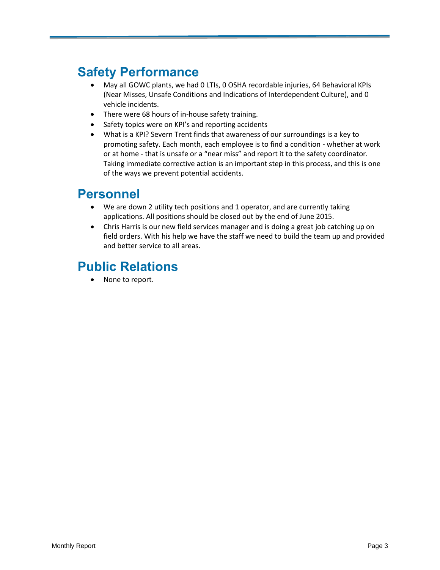## **Safety Performance**

- May all GOWC plants, we had 0 LTIs, 0 OSHA recordable injuries, 64 Behavioral KPIs (Near Misses, Unsafe Conditions and Indications of Interdependent Culture), and 0 vehicle incidents.
- There were 68 hours of in-house safety training.
- Safety topics were on KPI's and reporting accidents
- What is a KPI? Severn Trent finds that awareness of our surroundings is a key to promoting safety. Each month, each employee is to find a condition - whether at work or at home - that is unsafe or a "near miss" and report it to the safety coordinator. Taking immediate corrective action is an important step in this process, and this is one of the ways we prevent potential accidents.

### **Personnel**

- We are down 2 utility tech positions and 1 operator, and are currently taking applications. All positions should be closed out by the end of June 2015.
- Chris Harris is our new field services manager and is doing a great job catching up on field orders. With his help we have the staff we need to build the team up and provided and better service to all areas.

# **Public Relations**

None to report.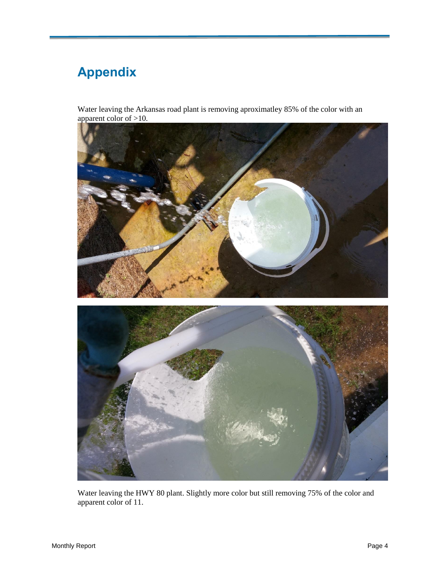# **Appendix**

Water leaving the Arkansas road plant is removing aproximatley 85% of the color with an apparent color of >10.



Water leaving the HWY 80 plant. Slightly more color but still removing 75% of the color and apparent color of 11.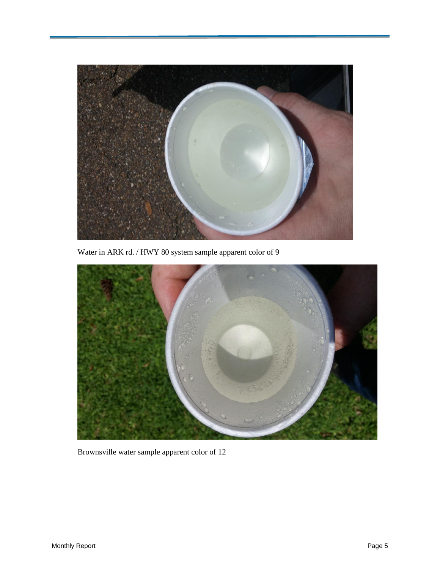

Water in ARK rd. / HWY 80 system sample apparent color of 9



Brownsville water sample apparent color of 12